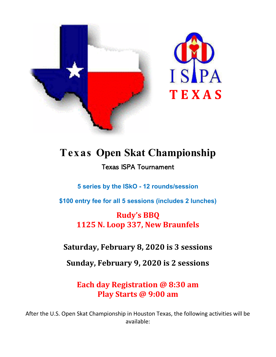



# Texas Open Skat Championship Texas ISPA Tournament

5 series by the ISkO - 12 rounds/session

\$100 entry fee for all 5 sessions (includes 2 lunches)

Rudy's BBQ 1125 N. Loop 337, New Braunfels

## Saturday, February 8, 2020 is 3 sessions

Sunday, February 9, 2020 is 2 sessions

Each day Registration @ 8:30 am Play Starts @ 9:00 am

After the U.S. Open Skat Championship in Houston Texas, the following activities will be available: